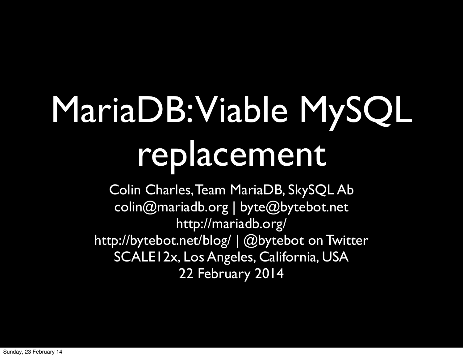## MariaDB: Viable MySQL replacement

Colin Charles, Team MariaDB, SkySQL Ab [colin@mariadb.org](mailto:colin@mariadb.org) | byte@bytebot.net [http://mariadb.org/](http://mariadb.org) <http://bytebot.net/blog/>| @bytebot on Twitter SCALE12x, Los Angeles, California, USA 22 February 2014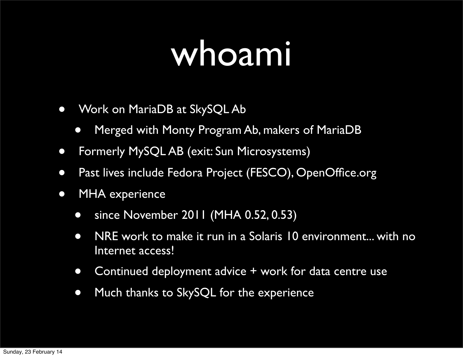#### whoami

- Work on MariaDB at SkySQL Ab
	- Merged with Monty Program Ab, makers of MariaDB
- Formerly MySQL AB (exit: Sun Microsystems)
- Past lives include Fedora Project (FESCO), OpenOffice.org
- MHA experience
	- since November 2011 (MHA 0.52, 0.53)
	- NRE work to make it run in a Solaris 10 environment... with no Internet access!
	- Continued deployment advice + work for data centre use
	- Much thanks to SkySQL for the experience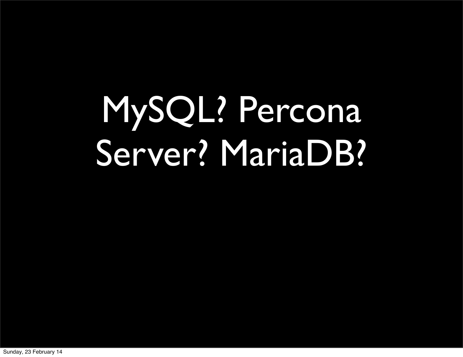## MySQL? Percona Server? MariaDB?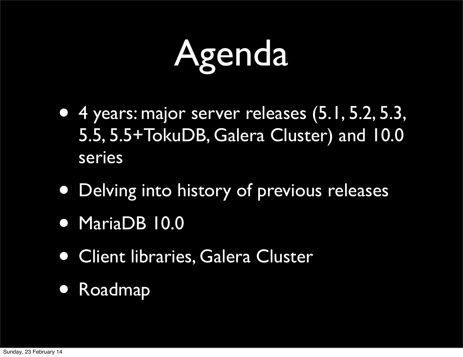## Agenda

- 4 years: major server releases (5.1, 5.2, 5.3, 5.5, 5.5+TokuDB, Galera Cluster) and 10.0 series
- Delving into history of previous releases
- MariaDB 10.0
- Client libraries, Galera Cluster
- Roadmap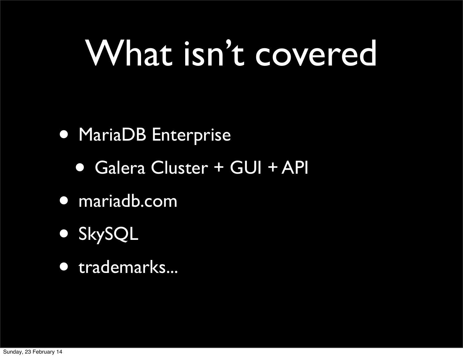#### What isn't covered

#### • MariaDB Enterprise

- Galera Cluster + GUI + API
- mariadb.com
- SkySQL
- trademarks...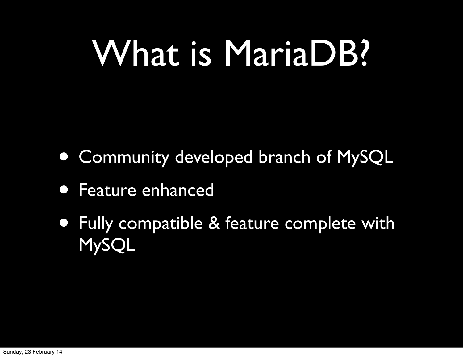#### What is MariaDB?

- Community developed branch of MySQL
- Feature enhanced
- Fully compatible & feature complete with MySQL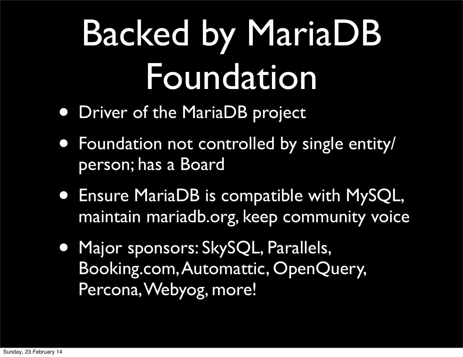## Backed by MariaDB Foundation

- Driver of the MariaDB project
- Foundation not controlled by single entity/ person; has a Board
- Ensure MariaDB is compatible with MySQL, maintain mariadb.org, keep community voice
- Major sponsors: SkySQL, Parallels, Booking.com, Automattic, OpenQuery, Percona, Webyog, more!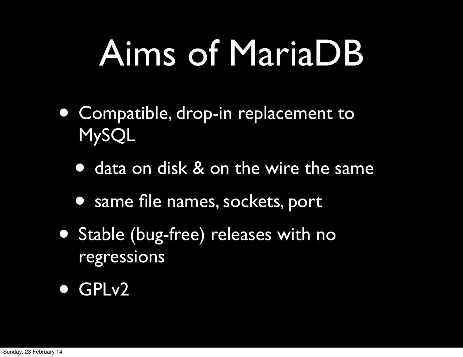#### Aims of MariaDB

- Compatible, drop-in replacement to MySQL
	- data on disk & on the wire the same
	- same file names, sockets, port
- Stable (bug-free) releases with no regressions
- GPLv2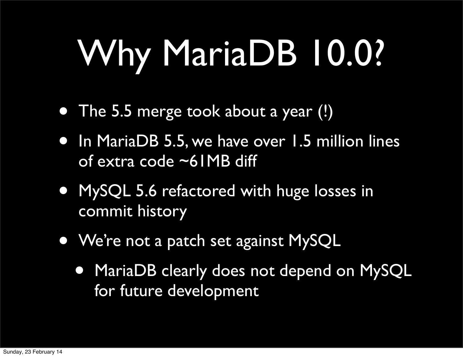## Why MariaDB 10.0?

- The 5.5 merge took about a year (!)
- In MariaDB 5.5, we have over 1.5 million lines of extra code ~61MB diff
- MySQL 5.6 refactored with huge losses in commit history
- We're not a patch set against MySQL
	- MariaDB clearly does not depend on MySQL for future development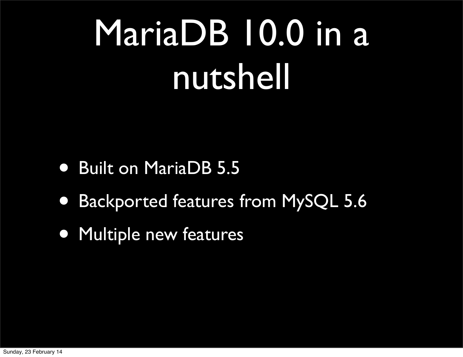## MariaDB 10.0 in a nutshell

- Built on MariaDB 5.5
- Backported features from MySQL 5.6
- Multiple new features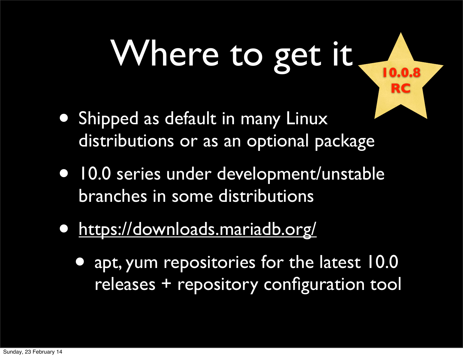## Where to get it

**10.0.8**

**RC**

- Shipped as default in many Linux distributions or as an optional package
- 10.0 series under development/unstable branches in some distributions
- <https://downloads.mariadb.org/>
	- [•](https://downloads.mariadb.org/) apt, yum repositories for the latest 10.0 releases + repository configuration tool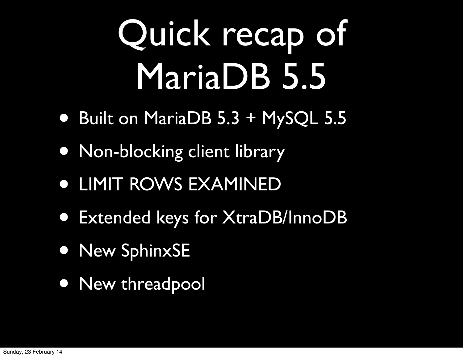## Quick recap of MariaDB 5.5

- Built on MariaDB 5.3 + MySQL 5.5
- Non-blocking client library
- LIMIT ROWS EXAMINED
- Extended keys for XtraDB/InnoDB
- New SphinxSE
- New threadpool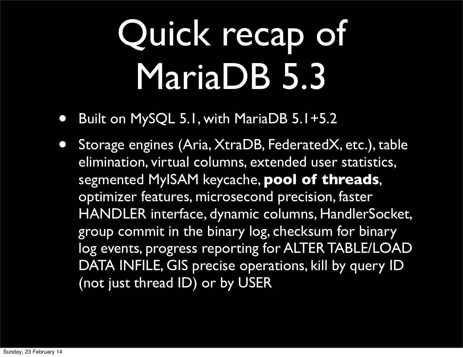## Quick recap of MariaDB 5.3

- Built on MySQL 5.1, with MariaDB 5.1+5.2
- Storage engines (Aria, XtraDB, FederatedX, etc.), table elimination, virtual columns, extended user statistics, segmented MyISAM keycache, **pool of threads**, optimizer features, microsecond precision, faster HANDLER interface, dynamic columns, HandlerSocket, group commit in the binary log, checksum for binary log events, progress reporting for ALTER TABLE/LOAD DATA INFILE, GIS precise operations, kill by query ID (not just thread ID) or by USER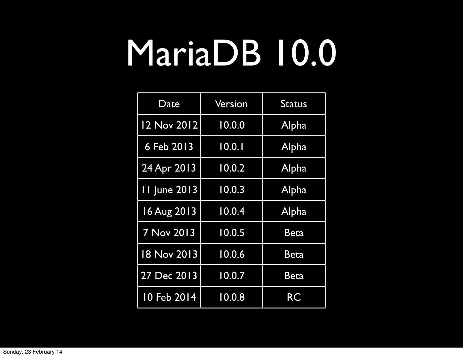| Date                | Version | <b>Status</b> |
|---------------------|---------|---------------|
| 12 Nov 2012         | 10.0.0  | Alpha         |
| 6 Feb 2013          | 10.0.1  | Alpha         |
| 24 Apr 2013         | 10.0.2  | Alpha         |
| <b>11 June 2013</b> | 10.0.3  | Alpha         |
| 16 Aug 2013         | 10.0.4  | Alpha         |
| 7 Nov 2013          | 10.0.5  | Beta          |
| 18 Nov 2013         | 10.0.6  | Beta          |
| 27 Dec 2013         | 10.0.7  | <b>Beta</b>   |
| 10 Feb 2014         | 10.0.8  | <b>RC</b>     |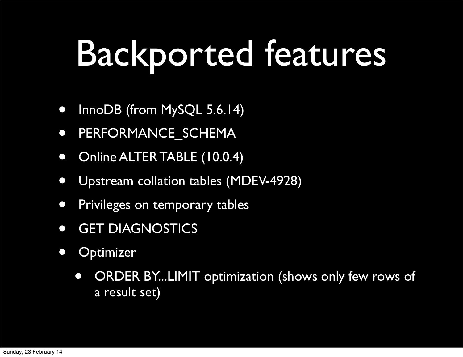## Backported features

- InnoDB (from MySQL 5.6.14)
- PERFORMANCE\_SCHEMA
- Online ALTER TABLE (10.0.4)
- Upstream collation tables (MDEV-4928)
- Privileges on temporary tables
- GET DIAGNOSTICS
- Optimizer
	- ORDER BY...LIMIT optimization (shows only few rows of a result set)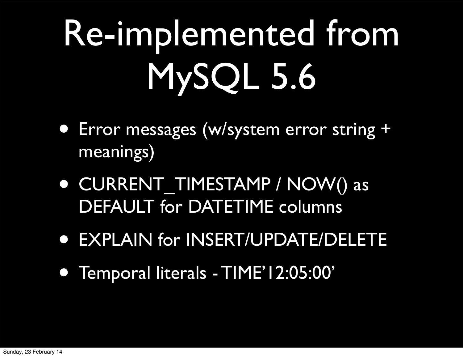# Re-implemented from MySQL 5.6

- Error messages (w/system error string + meanings)
- CURRENT\_TIMESTAMP / NOW() as DEFAULT for DATETIME columns
- EXPLAIN for INSERT/UPDATE/DELETE
- Temporal literals TIME'12:05:00'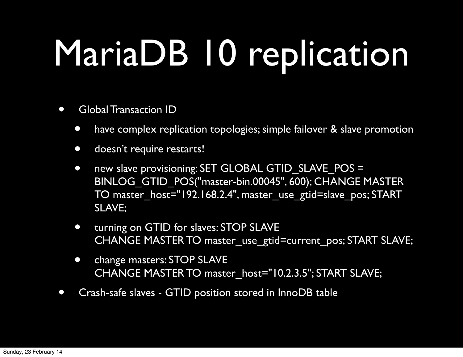## MariaDB 10 replication

- Global Transaction ID
	- have complex replication topologies; simple failover & slave promotion
	- **•** doesn't require restarts!
	- new slave provisioning: SET GLOBAL GTID SLAVE POS = BINLOG\_GTID\_POS("master-bin.00045", 600); CHANGE MASTER TO master\_host="192.168.2.4", master\_use\_gtid=slave\_pos; START SLAVE;
	- turning on GTID for slaves: STOP SLAVE CHANGE MASTER TO master\_use\_gtid=current\_pos; START SLAVE;
	- change masters: STOP SLAVE CHANGE MASTER TO master host="10.2.3.5"; START SLAVE;
- Crash-safe slaves GTID position stored in InnoDB table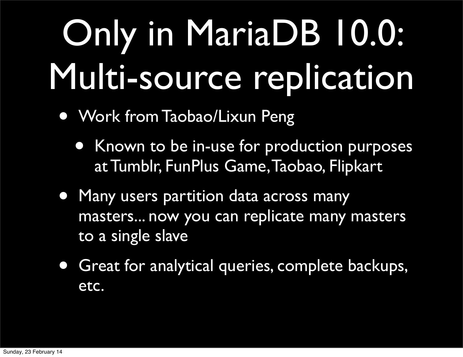## Only in MariaDB 10.0: Multi-source replication

- Work from Taobao/Lixun Peng
	- Known to be in-use for production purposes at Tumblr, FunPlus Game, Taobao, Flipkart
- Many users partition data across many masters... now you can replicate many masters to a single slave
- Great for analytical queries, complete backups, etc.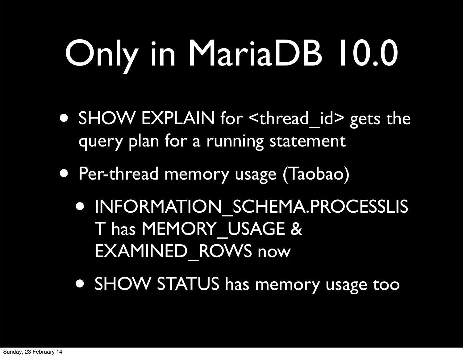# Only in MariaDB 10.0

- SHOW EXPLAIN for <thread id> gets the query plan for a running statement
- Per-thread memory usage (Taobao)
	- INFORMATION\_SCHEMA.PROCESSLIS T has MEMORY\_USAGE & EXAMINED\_ROWS now
	- SHOW STATUS has memory usage too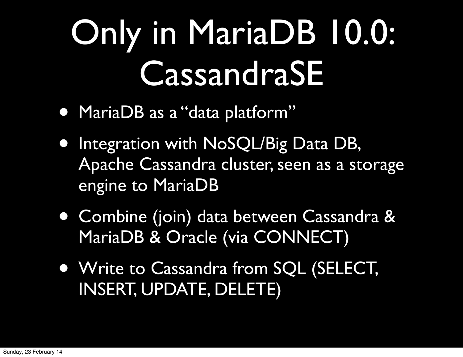## Only in MariaDB 10.0: CassandraSE

- MariaDB as a "data platform"
- **Integration with NoSQL/Big Data DB,** Apache Cassandra cluster, seen as a storage engine to MariaDB
- Combine (join) data between Cassandra & MariaDB & Oracle (via CONNECT)
- Write to Cassandra from SQL (SELECT, INSERT, UPDATE, DELETE)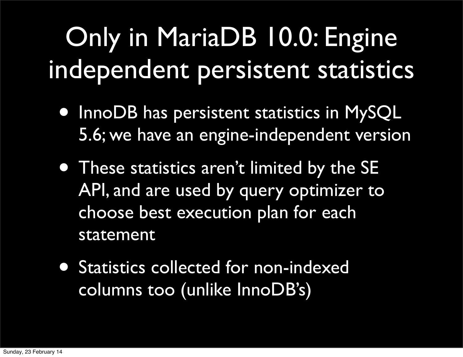#### Only in MariaDB 10.0: Engine independent persistent statistics

- InnoDB has persistent statistics in MySQL 5.6; we have an engine-independent version
- These statistics aren't limited by the SE API, and are used by query optimizer to choose best execution plan for each statement
- Statistics collected for non-indexed columns too (unlike InnoDB's)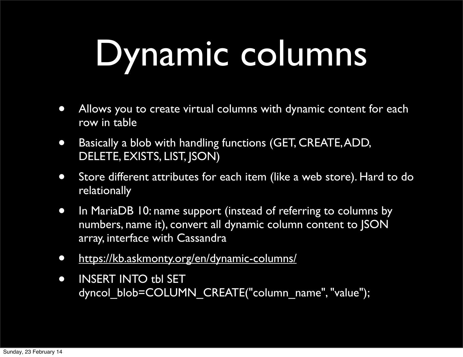## Dynamic columns

- Allows you to create virtual columns with dynamic content for each row in table
- Basically a blob with handling functions (GET, CREATE, ADD, DELETE, EXISTS, LIST, JSON)
- Store different attributes for each item (like a web store). Hard to do relationally
- In MariaDB 10: name support (instead of referring to columns by numbers, name it), convert all dynamic column content to JSON array, interface with Cassandra
- <https://kb.askmonty.org/en/dynamic-columns/>
- INSERT INTO tbl SET dyncol\_blob=COLUMN\_CREATE("column\_name", "value");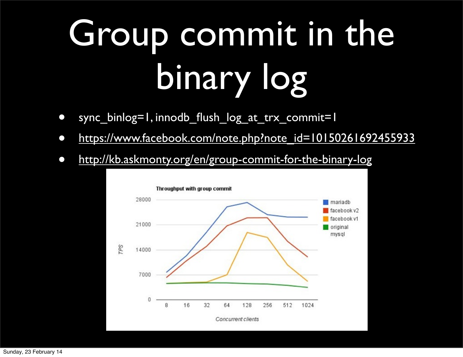# Group commit in the binary log

- sync\_binlog=1, innodb\_flush\_log\_at\_trx\_commit=1
- [https://www.facebook.com/note.php?note\\_id=10150261692455933](https://www.facebook.com/note.php?note_id=10150261692455933)
- <http://kb.askmonty.org/en/group-commit-for-the-binary-log>

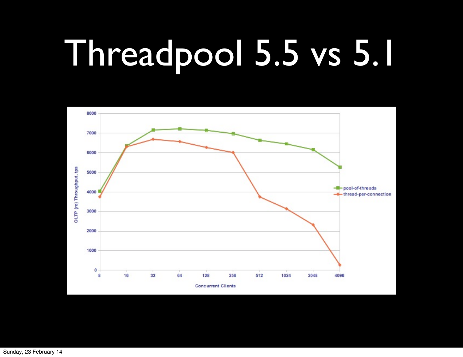## Threadpool 5.5 vs 5.1



Sunday, 23 February 14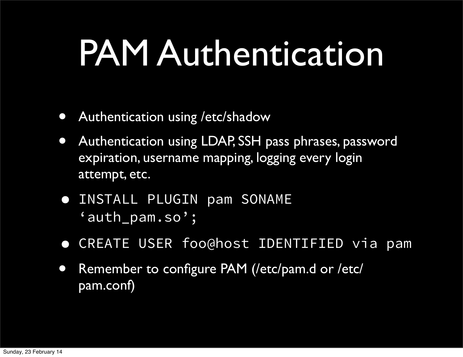#### PAM Authentication

- Authentication using /etc/shadow
- Authentication using LDAP, SSH pass phrases, password expiration, username mapping, logging every login attempt, etc.
- INSTALL PLUGIN pam SONAME 'auth\_pam.so';
- CREATE USER foo@host IDENTIFIED via pam
- Remember to configure PAM (/etc/pam.d or /etc/ pam.conf)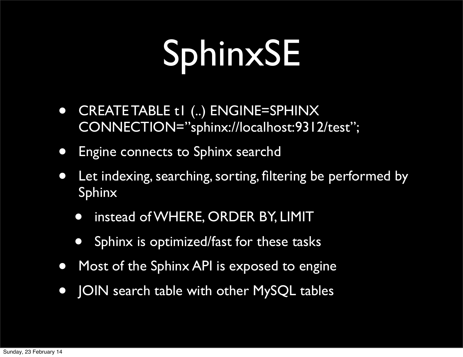## SphinxSE

- CREATE TABLE t1 (..) ENGINE=SPHINX CONNECTION="sphinx://localhost:9312/test";
- Engine connects to Sphinx searchd
- Let indexing, searching, sorting, filtering be performed by Sphinx
	- instead of WHERE, ORDER BY, LIMIT
	- Sphinx is optimized/fast for these tasks
- Most of the Sphinx API is exposed to engine
- JOIN search table with other MySQL tables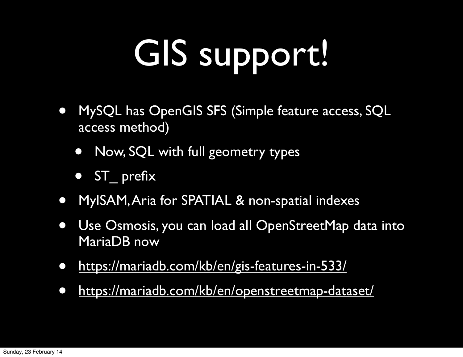## GIS support.

- MySQL has OpenGIS SFS (Simple feature access, SQL access method)
	- Now, SQL with full geometry types
	- ST prefix
- MyISAM, Aria for SPATIAL & non-spatial indexes
- Use Osmosis, you can load all OpenStreetMap data into MariaDB now
- <https://mariadb.com/kb/en/gis-features-in-533/>
- <https://mariadb.com/kb/en/openstreetmap-dataset/>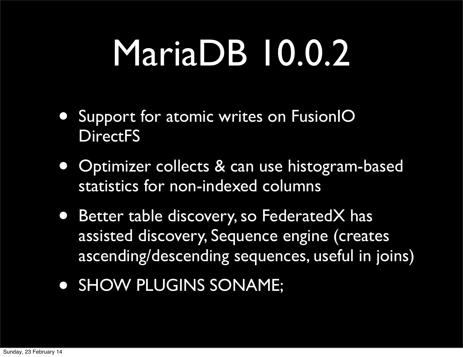- Support for atomic writes on FusionIO **DirectFS**
- Optimizer collects & can use histogram-based statistics for non-indexed columns
- Better table discovery, so FederatedX has assisted discovery, Sequence engine (creates ascending/descending sequences, useful in joins)
- SHOW PLUGINS SONAME;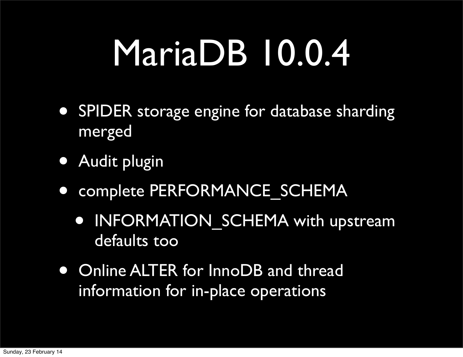- SPIDER storage engine for database sharding merged
- Audit plugin
- complete PERFORMANCE SCHEMA
	- INFORMATION SCHEMA with upstream defaults too
- Online ALTER for InnoDB and thread information for in-place operations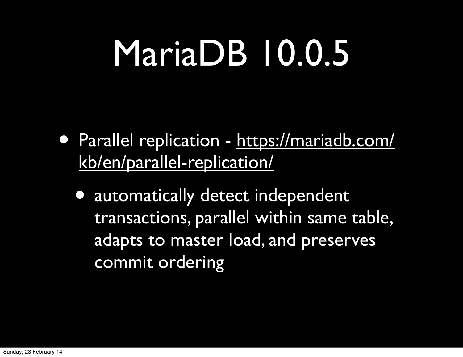- Parallel replication - [https://mariadb.com/](https://mariadb.com/kb/en/parallel-replication/) [kb/en/parallel-replication/](https://mariadb.com/kb/en/parallel-replication/)
	- [•](https://mariadb.com/kb/en/parallel-replication/) automatically detect independent transactions, parallel within same table, adapts to master load, and preserves commit ordering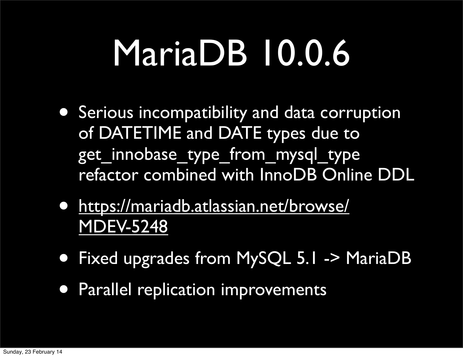- Serious incompatibility and data corruption of DATETIME and DATE types due to get\_innobase\_type\_from\_mysql\_type refactor combined with InnoDB Online DDL
- [https://mariadb.atlassian.net/browse/](https://mariadb.atlassian.net/browse/MDEV-5248) [MDEV-5248](https://mariadb.atlassian.net/browse/MDEV-5248)
- Fixed upgrades from MySQL 5.1 -> MariaDB
- Parallel replication improvements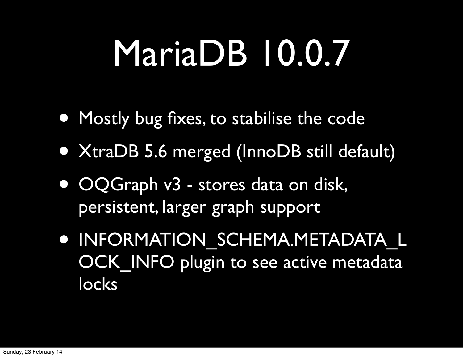- Mostly bug fixes, to stabilise the code
- XtraDB 5.6 merged (InnoDB still default)
- OQGraph v3 stores data on disk, persistent, larger graph support
- INFORMATION\_SCHEMA.METADATA\_L OCK INFO plugin to see active metadata locks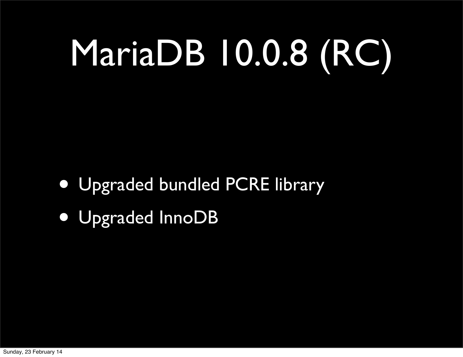# MariaDB 10.0.8 (RC)

- Upgraded bundled PCRE library
- Upgraded InnoDB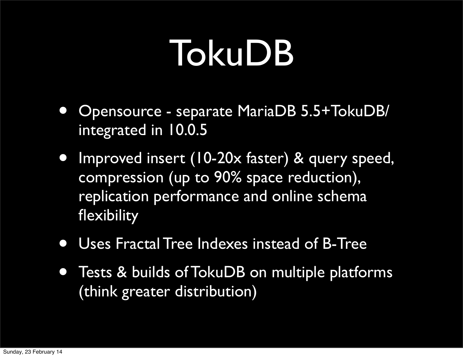#### TokuDB

- Opensource separate MariaDB 5.5+TokuDB/ integrated in 10.0.5
- Improved insert (10-20x faster) & query speed, compression (up to 90% space reduction), replication performance and online schema flexibility
- Uses Fractal Tree Indexes instead of B-Tree
- Tests & builds of TokuDB on multiple platforms (think greater distribution)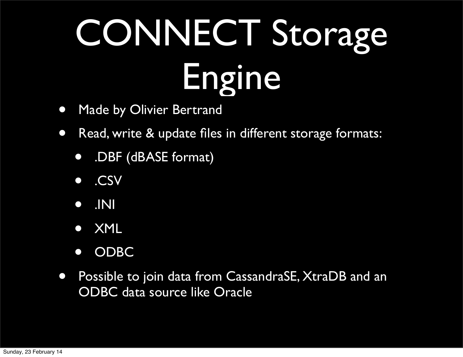# CONNECT Storage Engine

- Made by Olivier Bertrand
- Read, write & update files in different storage formats:
	- .DBF (dBASE format)
	- .CSV
	- .INI
	- XML
	- ODBC
- Possible to join data from CassandraSE, XtraDB and an ODBC data source like Oracle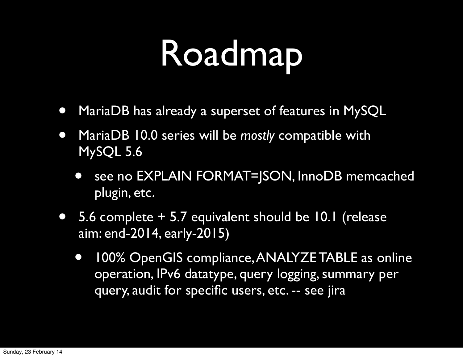## Roadmap

- MariaDB has already a superset of features in MySQL
- MariaDB 10.0 series will be *mostly* compatible with MySQL 5.6
	- see no EXPLAIN FORMAT=JSON, InnoDB memcached plugin, etc.
- 5.6 complete + 5.7 equivalent should be 10.1 (release aim: end-2014, early-2015)
	- 100% OpenGIS compliance, ANALYZE TABLE as online operation, IPv6 datatype, query logging, summary per query, audit for specific users, etc. -- see jira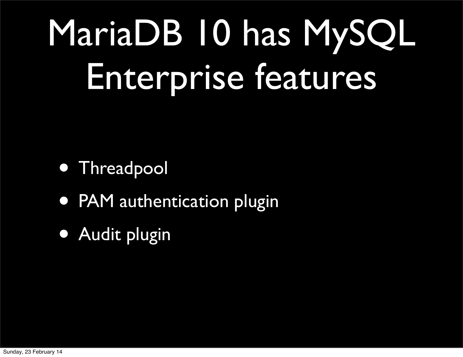# MariaDB 10 has MySQL Enterprise features

- **Threadpool**
- PAM authentication plugin
- Audit plugin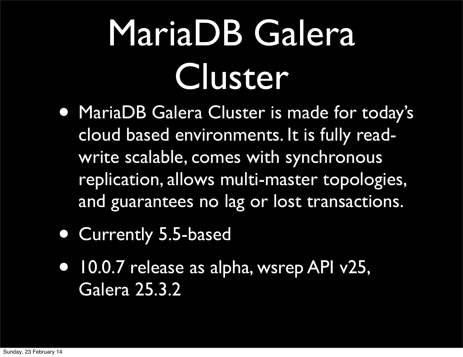## MariaDB Galera Cluster

- MariaDB Galera Cluster is made for today's cloud based environments. It is fully readwrite scalable, comes with synchronous replication, allows multi-master topologies, and guarantees no lag or lost transactions.
- Currently 5.5-based
- 10.0.7 release as alpha, wsrep API v25, Galera 25.3.2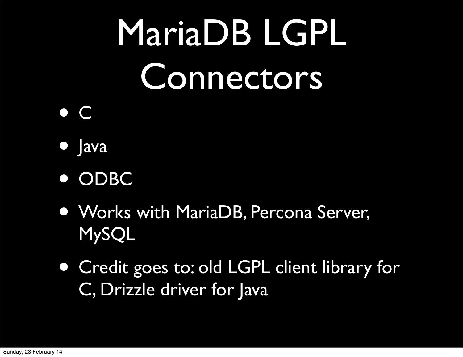# MariaDB LGPL Connectors

#### • <sup>C</sup>

- Java
- ODBC
- Works with MariaDB, Percona Server, MySQL
- Credit goes to: old LGPL client library for C, Drizzle driver for Java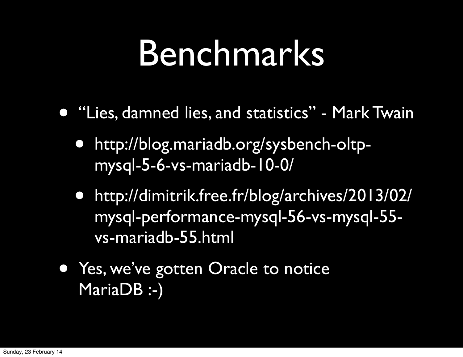#### Benchmarks

- "Lies, damned lies, and statistics" Mark Twain
	- [http://blog.mariadb.org/sysbench-oltp](http://blog.mariadb.org/sysbench-oltp-mysql-5-6-vs-mariadb-10-0/)[mysql-5-6-vs-mariadb-10-0/](http://blog.mariadb.org/sysbench-oltp-mysql-5-6-vs-mariadb-10-0/)
	- [http://dimitrik.free.fr/blog/archives/2013/02/](http://dimitrik.free.fr/blog/archives/2013/02/mysql-performance-mysql-56-vs-mysql-55-vs-mariadb-55.html) [mysql-performance-mysql-56-vs-mysql-55](http://dimitrik.free.fr/blog/archives/2013/02/mysql-performance-mysql-56-vs-mysql-55-vs-mariadb-55.html) [vs-mariadb-55.html](http://dimitrik.free.fr/blog/archives/2013/02/mysql-performance-mysql-56-vs-mysql-55-vs-mariadb-55.html)
- Yes, we've gotten Oracle to notice MariaDB :-)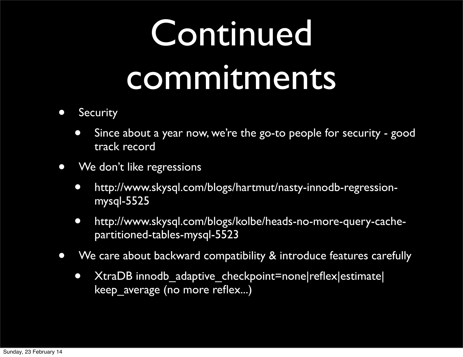## Continued commitments

- Security
	- Since about a year now, we're the go-to people for security good track record
- We don't like regressions
	- [http://www.skysql.com/blogs/hartmut/nasty-innodb-regression](http://www.skysql.com/blogs/hartmut/nasty-innodb-regression-mysql-5525)[mysql-5525](http://www.skysql.com/blogs/hartmut/nasty-innodb-regression-mysql-5525)
	- [http://www.skysql.com/blogs/kolbe/heads-no-more-query-cache](http://www.skysql.com/blogs/hartmut/nasty-innodb-regression-mysql-5525)[partitioned-tables-mysql-5523](http://www.skysql.com/blogs/hartmut/nasty-innodb-regression-mysql-5525)
- We care about backward compatibility & introduce features carefully
	- XtraDB innodb\_adaptive\_checkpoint=none|reflex|estimate| keep\_average (no more reflex...)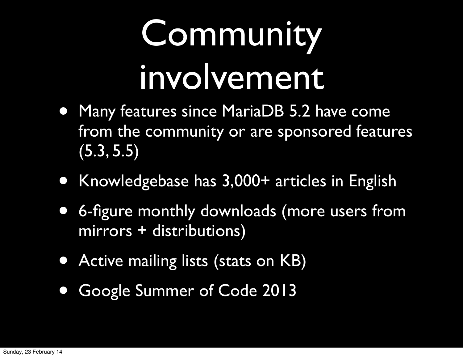## Community involvement

- Many features since MariaDB 5.2 have come from the community or are sponsored features (5.3, 5.5)
- Knowledgebase has 3,000+ articles in English
- 6-figure monthly downloads (more users from mirrors + distributions)
- Active mailing lists (stats on KB)
- Google Summer of Code 2013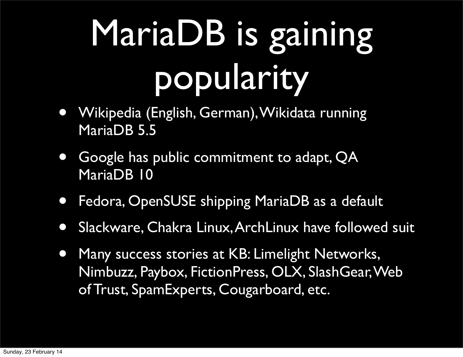## MariaDB is gaining popularity

- Wikipedia (English, German), Wikidata running MariaDB 5.5
- Google has public commitment to adapt, QA MariaDB 10
- Fedora, OpenSUSE shipping MariaDB as a default
- Slackware, Chakra Linux, ArchLinux have followed suit
- Many success stories at KB: Limelight Networks, Nimbuzz, Paybox, FictionPress, OLX, SlashGear, Web of Trust, SpamExperts, Cougarboard, etc.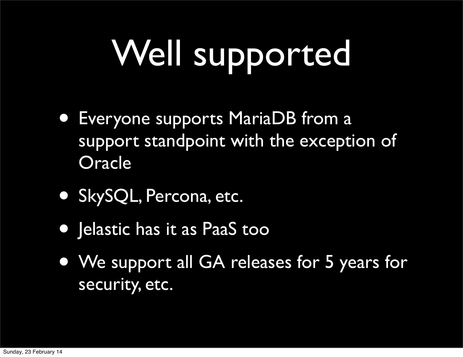# Well supported

- Everyone supports MariaDB from a support standpoint with the exception of **Oracle**
- SkySQL, Percona, etc.
- Jelastic has it as PaaS too
- We support all GA releases for 5 years for security, etc.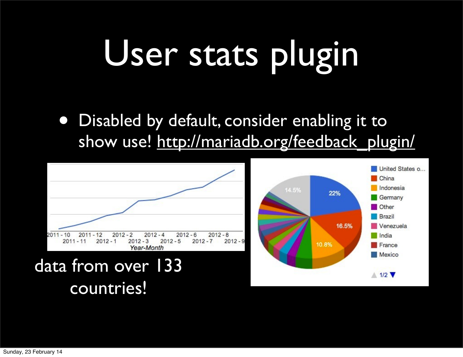## User stats plugin

• Disabled by default, consider enabling it to show use! [http://mariadb.org/feedback\\_plugin/](http://mariadb.org/feedback_plugin/)

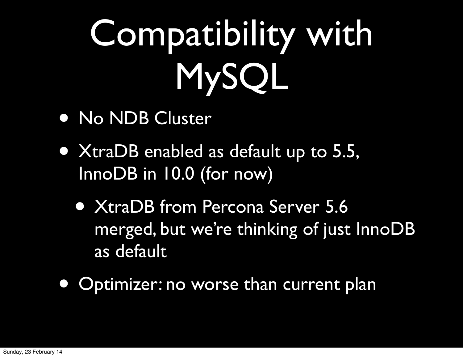# Compatibility with MySQL

- No NDB Cluster
- XtraDB enabled as default up to 5.5, InnoDB in 10.0 (for now)
	- XtraDB from Percona Server 5.6 merged, but we're thinking of just InnoDB as default
- Optimizer: no worse than current plan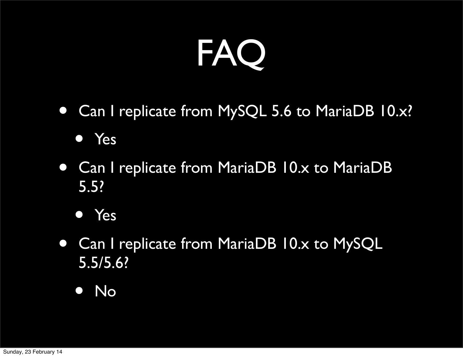

• Can I replicate from MySQL 5.6 to MariaDB 10.x?

• Yes

- Can I replicate from MariaDB 10.x to MariaDB 5.5?
	- Yes
- Can I replicate from MariaDB 10.x to MySQL 5.5/5.6?
	- No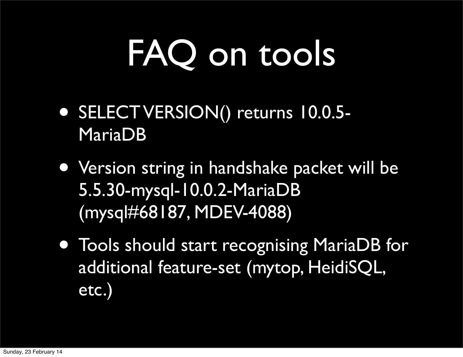## FAQ on tools

- SELECT VERSION() returns 10.0.5- MariaDB
- Version string in handshake packet will be 5.5.30-mysql-10.0.2-MariaDB (mysql#68187, MDEV-4088)
- Tools should start recognising MariaDB for additional feature-set (mytop, HeidiSQL, etc.)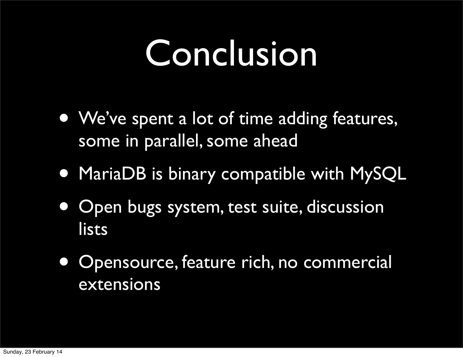#### Conclusion

- We've spent a lot of time adding features, some in parallel, some ahead
- MariaDB is binary compatible with MySQL
- Open bugs system, test suite, discussion lists
- Opensource, feature rich, no commercial extensions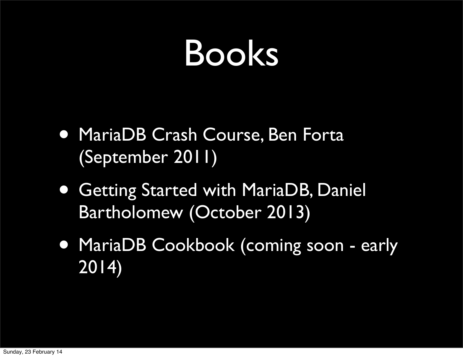#### Books

- MariaDB Crash Course, Ben Forta (September 2011)
- Getting Started with MariaDB, Daniel Bartholomew (October 2013)
- MariaDB Cookbook (coming soon early 2014)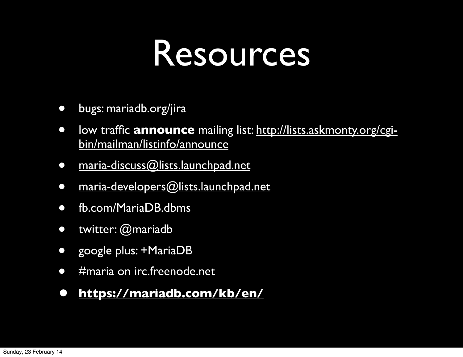#### Resources

- bugs: mariadb.org/jira
- low traffic **announce** mailing list: [http://lists.askmonty.org/cgi](http://lists.askmonty.org/cgi-bin/mailman/listinfo/announce)[bin/mailman/listinfo/announce](http://lists.askmonty.org/cgi-bin/mailman/listinfo/announce)
- [maria-discuss@lists.launchpad.net](mailto:maria-discuss@lists.launchpad.net)
- [maria-developers@lists.launchpad.net](mailto:maria-developers@lists.launchpad.net)
- fb.com/MariaDB.dbms
- twitter: @mariadb
- google plus: +MariaDB
- #maria on irc.freenode.net

#### **• <https://mariadb.com/kb/en/>**